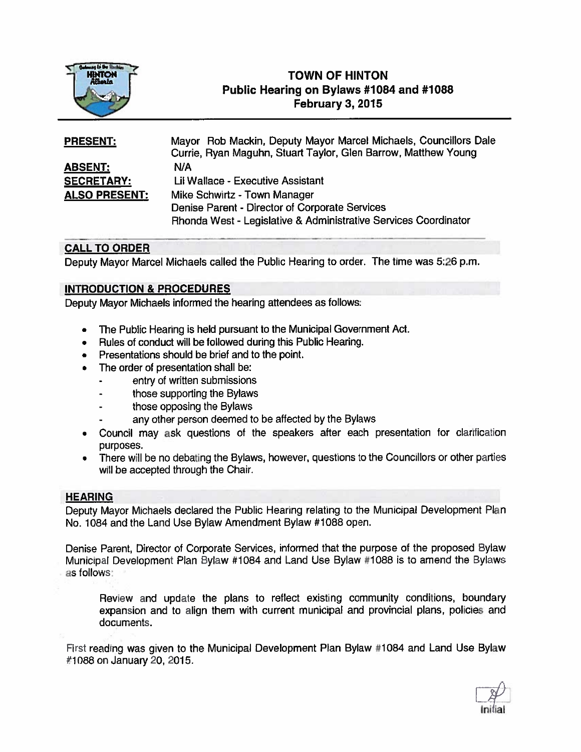

# TOWN OF HINTON Public Hearing on Bylaws #1084 and #1088 February 3, 2015

| <b>PRESENT:</b>      | Mayor Rob Mackin, Deputy Mayor Marcel Michaels, Councillors Dale |
|----------------------|------------------------------------------------------------------|
|                      | Currie, Ryan Maguhn, Stuart Taylor, Glen Barrow, Matthew Young   |
| <b>ABSENT:</b>       | N/A                                                              |
| <b>SECRETARY:</b>    | Lil Wallace - Executive Assistant                                |
| <b>ALSO PRESENT:</b> | Mike Schwirtz - Town Manager                                     |
|                      | Denise Parent - Director of Corporate Services                   |
|                      | Rhonda West - Legislative & Administrative Services Coordinator  |

## CALL TO ORDER

Deputy Mayor Marcel Michaels called the Public Hearing to order. The time was 5:26 p.m.

### INTRODUCTION & PROCEDURES

Deputy Mayor Michaels informed the hearing attendees as follows:

- •The Public Hearing is held pursuan<sup>t</sup> to the Municipal Government Act.
- Rules of conduct will be followed during this Public Hearing.
- Presentations should be brief and to the point.
- • The order of presentation shall be:
	- entry of written submissions
	- those supporting the Bylaws
	- those opposing the Bylaws
	- any other person deemed to be affected by the Bylaws
- Council may ask questions of the speakers after each presentation for clarification purposes.
- There will be no debating the Bylaws, however, questions to the Councillors or other parties will be accepted through the Chair.

### **HEARING**

Deputy Mayor Michaels declared the Public Hearing relating to the Municipal Development Plan No. 1064 and the Land Use Bylaw Amendment Bylaw #1088 open.

Denise Parent, Director of Corporate Services, informed that the purpose of the proposed Bylaw Municipal Development Plan Bylaw #1084 and Land Use Bylaw #1 <sup>088</sup> is to amend the Bylaws as follows:

Review and update the plans to reflect existing community conditions, boundary expansion and to align them with current municipal and provincial <sup>p</sup>lans, policies and documents.

First reading was <sup>g</sup>iven to the Municipal Development Plan Bylaw #1084 and Land Use Bylaw #1088 on January 20, 2015.